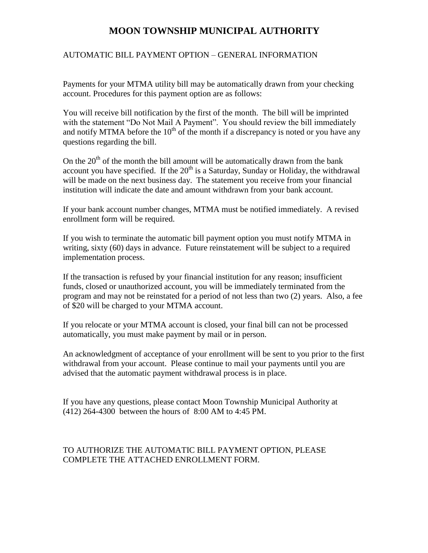# **MOON TOWNSHIP MUNICIPAL AUTHORITY**

## AUTOMATIC BILL PAYMENT OPTION – GENERAL INFORMATION

Payments for your MTMA utility bill may be automatically drawn from your checking account. Procedures for this payment option are as follows:

You will receive bill notification by the first of the month. The bill will be imprinted with the statement "Do Not Mail A Payment". You should review the bill immediately and notify MTMA before the  $10<sup>th</sup>$  of the month if a discrepancy is noted or you have any questions regarding the bill.

On the  $20<sup>th</sup>$  of the month the bill amount will be automatically drawn from the bank account you have specified. If the  $20<sup>th</sup>$  is a Saturday, Sunday or Holiday, the withdrawal will be made on the next business day. The statement you receive from your financial institution will indicate the date and amount withdrawn from your bank account.

If your bank account number changes, MTMA must be notified immediately. A revised enrollment form will be required.

If you wish to terminate the automatic bill payment option you must notify MTMA in writing, sixty (60) days in advance. Future reinstatement will be subject to a required implementation process.

If the transaction is refused by your financial institution for any reason; insufficient funds, closed or unauthorized account, you will be immediately terminated from the program and may not be reinstated for a period of not less than two (2) years. Also, a fee of \$20 will be charged to your MTMA account.

If you relocate or your MTMA account is closed, your final bill can not be processed automatically, you must make payment by mail or in person.

An acknowledgment of acceptance of your enrollment will be sent to you prior to the first withdrawal from your account. Please continue to mail your payments until you are advised that the automatic payment withdrawal process is in place.

If you have any questions, please contact Moon Township Municipal Authority at (412) 264-4300 between the hours of 8:00 AM to 4:45 PM.

## TO AUTHORIZE THE AUTOMATIC BILL PAYMENT OPTION, PLEASE COMPLETE THE ATTACHED ENROLLMENT FORM.